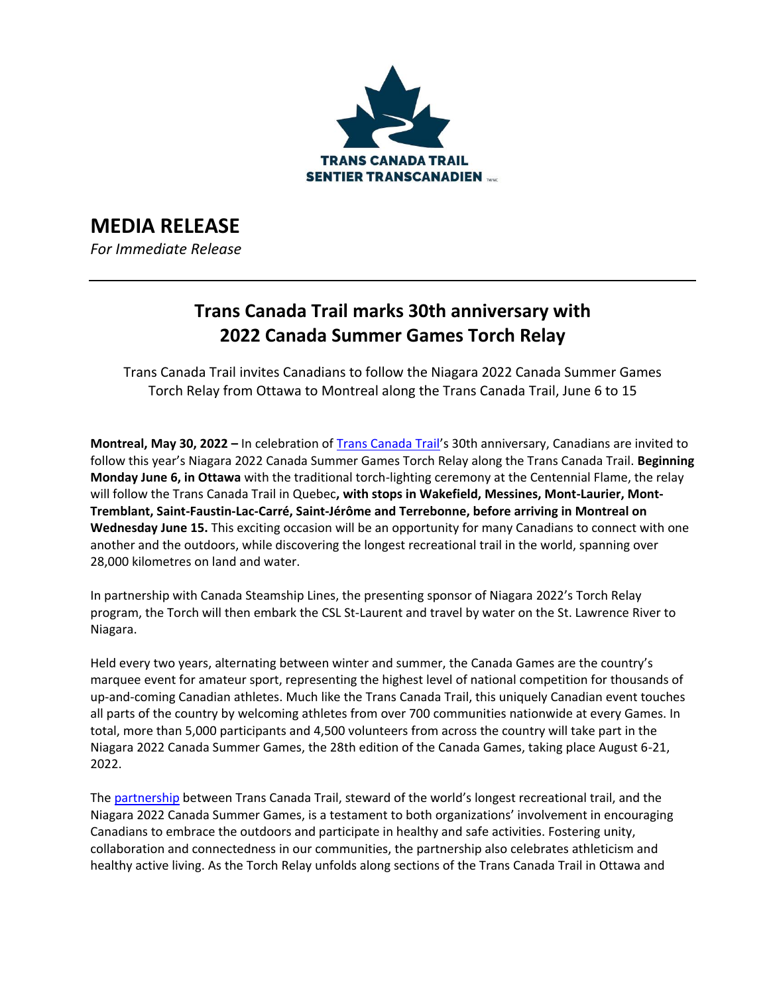

# **MEDIA RELEASE**

*For Immediate Release*

# **Trans Canada Trail marks 30th anniversary with 2022 Canada Summer Games Torch Relay**

Trans Canada Trail invites Canadians to follow the Niagara 2022 Canada Summer Games Torch Relay from Ottawa to Montreal along the Trans Canada Trail, June 6 to 15

**Montreal, May 30, 2022 –** In celebration of [Trans Canada Trail](http://www.tctrail.ca/)'s 30th anniversary, Canadians are invited to follow this year's Niagara 2022 Canada Summer Games Torch Relay along the Trans Canada Trail. **Beginning Monday June 6, in Ottawa** with the traditional torch-lighting ceremony at the Centennial Flame, the relay will follow the Trans Canada Trail in Quebec**, with stops in Wakefield, Messines, Mont-Laurier, Mont-Tremblant, Saint-Faustin-Lac-Carré, Saint-Jérôme and Terrebonne, before arriving in Montreal on Wednesday June 15.** This exciting occasion will be an opportunity for many Canadians to connect with one another and the outdoors, while discovering the longest recreational trail in the world, spanning over 28,000 kilometres on land and water.

In partnership with Canada Steamship Lines, the presenting sponsor of Niagara 2022's Torch Relay program, the Torch will then embark the CSL St-Laurent and travel by water on the St. Lawrence River to Niagara.

Held every two years, alternating between winter and summer, the Canada Games are the country's marquee event for amateur sport, representing the highest level of national competition for thousands of up-and-coming Canadian athletes. Much like the Trans Canada Trail, this uniquely Canadian event touches all parts of the country by welcoming athletes from over 700 communities nationwide at every Games. In total, more than 5,000 participants and 4,500 volunteers from across the country will take part in the Niagara 2022 Canada Summer Games, the 28th edition of the Canada Games, taking place August 6-21, 2022.

The [partnership](https://tctrail.ca/news/trans-canada-trail-officially-partners-with-the-niagra-2022-canada-summer-games/) between Trans Canada Trail, steward of the world's longest recreational trail, and the Niagara 2022 Canada Summer Games, is a testament to both organizations' involvement in encouraging Canadians to embrace the outdoors and participate in healthy and safe activities. Fostering unity, collaboration and connectedness in our communities, the partnership also celebrates athleticism and healthy active living. As the Torch Relay unfolds along sections of the Trans Canada Trail in Ottawa and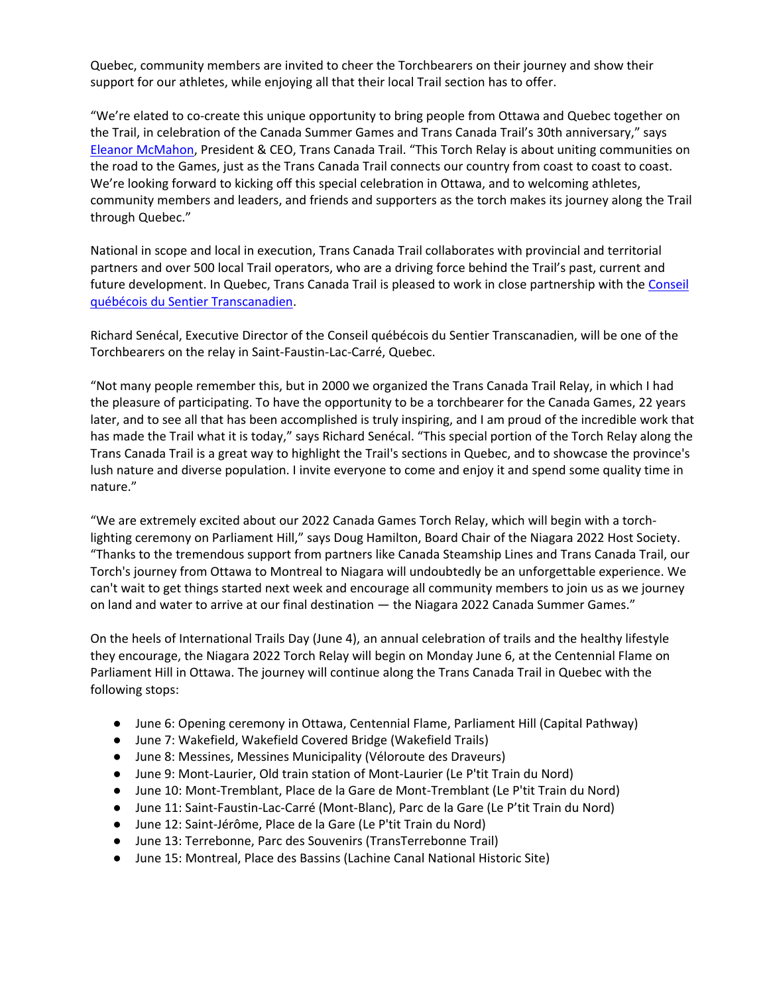Quebec, community members are invited to cheer the Torchbearers on their journey and show their support for our athletes, while enjoying all that their local Trail section has to offer.

"We're elated to co-create this unique opportunity to bring people from Ottawa and Quebec together on the Trail, in celebration of the Canada Summer Games and Trans Canada Trail's 30th anniversary," says [Eleanor McMahon](https://tctrail.ca/people/management-team/eleanor-mcmahon/), President & CEO, Trans Canada Trail. "This Torch Relay is about uniting communities on the road to the Games, just as the Trans Canada Trail connects our country from coast to coast to coast. We're looking forward to kicking off this special celebration in Ottawa, and to welcoming athletes, community members and leaders, and friends and supporters as the torch makes its journey along the Trail through Quebec."

National in scope and local in execution, Trans Canada Trail collaborates with provincial and territorial partners and over 500 local Trail operators, who are a driving force behind the Trail's past, current and future development. In Quebec, Trans Canada Trail is pleased to work in close partnership with the [Conseil](https://www.sentiertcquebec.ca/)  [québécois du Sentier Transcanadien.](https://www.sentiertcquebec.ca/)

Richard Senécal, Executive Director of the Conseil québécois du Sentier Transcanadien, will be one of the Torchbearers on the relay in Saint-Faustin-Lac-Carré, Quebec.

"Not many people remember this, but in 2000 we organized the Trans Canada Trail Relay, in which I had the pleasure of participating. To have the opportunity to be a torchbearer for the Canada Games, 22 years later, and to see all that has been accomplished is truly inspiring, and I am proud of the incredible work that has made the Trail what it is today," says Richard Senécal. "This special portion of the Torch Relay along the Trans Canada Trail is a great way to highlight the Trail's sections in Quebec, and to showcase the province's lush nature and diverse population. I invite everyone to come and enjoy it and spend some quality time in nature."

"We are extremely excited about our 2022 Canada Games Torch Relay, which will begin with a torchlighting ceremony on Parliament Hill," says Doug Hamilton, Board Chair of the Niagara 2022 Host Society. "Thanks to the tremendous support from partners like Canada Steamship Lines and Trans Canada Trail, our Torch's journey from Ottawa to Montreal to Niagara will undoubtedly be an unforgettable experience. We can't wait to get things started next week and encourage all community members to join us as we journey on land and water to arrive at our final destination — the Niagara 2022 Canada Summer Games."

On the heels of International Trails Day (June 4), an annual celebration of trails and the healthy lifestyle they encourage, the Niagara 2022 Torch Relay will begin on Monday June 6, at the Centennial Flame on Parliament Hill in Ottawa. The journey will continue along the Trans Canada Trail in Quebec with the following stops:

- June 6: Opening ceremony in Ottawa, Centennial Flame, Parliament Hill (Capital Pathway)
- June 7: Wakefield, Wakefield Covered Bridge (Wakefield Trails)
- June 8: Messines, Messines Municipality (Véloroute des Draveurs)
- June 9: Mont-Laurier, Old train station of Mont-Laurier (Le P'tit Train du Nord)
- June 10: Mont-Tremblant, Place de la Gare de Mont-Tremblant (Le P'tit Train du Nord)
- June 11: Saint-Faustin-Lac-Carré (Mont-Blanc), Parc de la Gare (Le P'tit Train du Nord)
- June 12: Saint-Jérôme, Place de la Gare (Le P'tit Train du Nord)
- June 13: Terrebonne, Parc des Souvenirs (TransTerrebonne Trail)
- June 15: Montreal, Place des Bassins (Lachine Canal National Historic Site)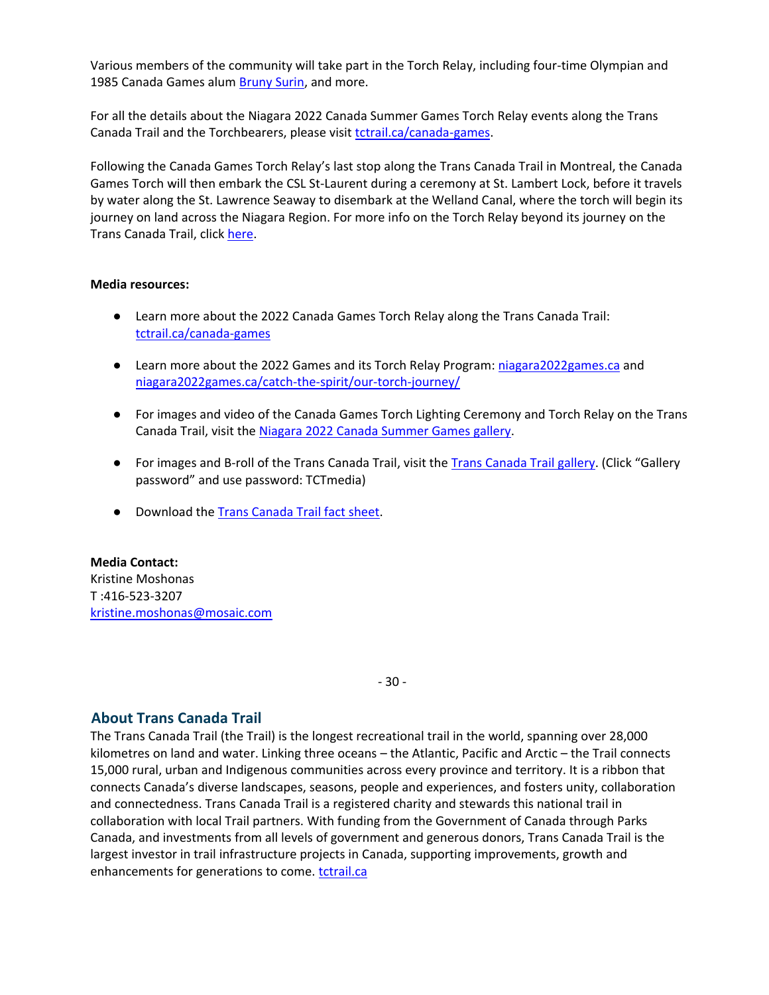Various members of the community will take part in the Torch Relay, including four-time Olympian and 1985 Canada Games alum **Bruny Surin**, and more.

For all the details about the Niagara 2022 Canada Summer Games Torch Relay events along the Trans Canada Trail and the Torchbearers, please visit [tctrail.ca/canada-games.](https://tctrail.ca/canada-games)

Following the Canada Games Torch Relay's last stop along the Trans Canada Trail in Montreal, the Canada Games Torch will then embark the CSL St-Laurent during a ceremony at St. Lambert Lock, before it travels by water along the St. Lawrence Seaway to disembark at the Welland Canal, where the torch will begin its journey on land across the Niagara Region. For more info on the Torch Relay beyond its journey on the Trans Canada Trail, click [here.](https://niagara2022games.ca/catch-the-spirit/torch-relay/)

#### **Media resources:**

- Learn more about the 2022 Canada Games Torch Relay along the Trans Canada Trail: [tctrail.ca/canada-games](https://tctrail.ca/canada-games)
- Learn more about the 2022 Games and its Torch Relay Program: [niagara2022games.ca](https://niagara2022games.ca/) and [niagara2022games.ca/catch-the-spirit/our-torch-journey/](https://niagara2022games.ca/catch-the-spirit/our-torch-journey/)
- For images and video of the Canada Games Torch Lighting Ceremony and Torch Relay on the Trans Canada Trail, visit the [Niagara 2022 Canada Summer Games gallery.](https://canadagames.photoshelter.com/galleries/C0000_t9bAaohbSg/Torch-Relay)
- For images and B-roll of the Trans Canada Trail, visit the [Trans Canada Trail gallery.](https://tctstudio.photoshelter.com/galleries/C0000cYezMuugams/Various-Trail-Photos) (Click "Gallery password" and use password: TCTmedia)
- Download th[e Trans Canada Trail fact sheet.](https://docs.google.com/document/d/1fvptGfoswxUKx0TDgd_C72RQMcEpHUj-/edit)

**Media Contact:** Kristine Moshonas T :416-523-3207 [kristine.moshonas@mosaic.com](mailto:kristine.moshonas@mosaic.com)

- 30 -

### **About Trans Canada Trail**

The Trans Canada Trail (the Trail) is the longest recreational trail in the world, spanning over 28,000 kilometres on land and water. Linking three oceans – the Atlantic, Pacific and Arctic – the Trail connects 15,000 rural, urban and Indigenous communities across every province and territory. It is a ribbon that connects Canada's diverse landscapes, seasons, people and experiences, and fosters unity, collaboration and connectedness. Trans Canada Trail is a registered charity and stewards this national trail in collaboration with local Trail partners. With funding from the Government of Canada through Parks Canada, and investments from all levels of government and generous donors, Trans Canada Trail is the largest investor in trail infrastructure projects in Canada, supporting improvements, growth and enhancements for generations to come[. tctrail.ca](http://www.tctrail.ca/)